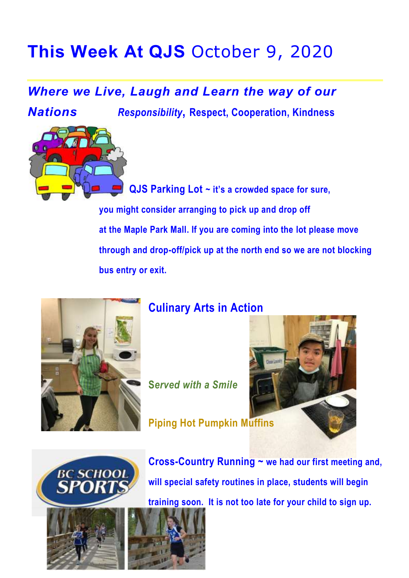## **This Week At QJS** October 9, 2020

## *Where we Live, Laugh and Learn the way of our*

*Nations Responsibility***, Respect, Cooperation, Kindness**

 **QJS Parking Lot ~ it's a crowded space for sure, you might consider arranging to pick up and drop off at the Maple Park Mall. If you are coming into the lot please move through and drop-off/pick up at the north end so we are not blocking bus entry or exit.**



## **Culinary Arts in Action**

**S***erved with a Smile*







**Cross-Country Running ~ we had our first meeting and, will special safety routines in place, students will begin training soon. It is not too late for your child to sign up.**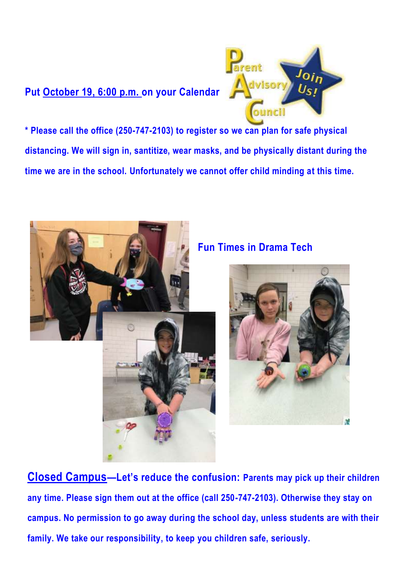### **Put October 19, 6:00 p.m. on your Calendar**



**\* Please call the office (250-747-2103) to register so we can plan for safe physical distancing. We will sign in, santitize, wear masks, and be physically distant during the time we are in the school. Unfortunately we cannot offer child minding at this time.**



#### **Fun Times in Drama Tech**



**Closed Campus—Let's reduce the confusion: Parents may pick up their children any time. Please sign them out at the office (call 250-747-2103). Otherwise they stay on campus. No permission to go away during the school day, unless students are with their family. We take our responsibility, to keep you children safe, seriously.**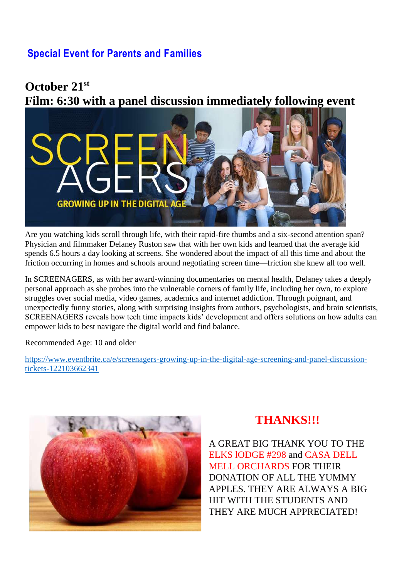#### **Special Event for Parents and Families**

#### **October 21st Film: 6:30 with a panel discussion immediately following event**



Are you watching kids scroll through life, with their rapid-fire thumbs and a six-second attention span? Physician and filmmaker Delaney Ruston saw that with her own kids and learned that the average kid spends 6.5 hours a day looking at screens. She wondered about the impact of all this time and about the friction occurring in homes and schools around negotiating screen time—friction she knew all too well.

In SCREENAGERS, as with her award-winning documentaries on mental health, Delaney takes a deeply personal approach as she probes into the vulnerable corners of family life, including her own, to explore struggles over social media, video games, academics and internet addiction. Through poignant, and unexpectedly funny stories, along with surprising insights from authors, psychologists, and brain scientists, SCREENAGERS reveals how tech time impacts kids' development and offers solutions on how adults can empower kids to best navigate the digital world and find balance.

Recommended Age: 10 and older

[https://www.eventbrite.ca/e/screenagers-growing-up-in-the-digital-age-screening-and-panel-discussion](https://www.eventbrite.ca/e/screenagers-growing-up-in-the-digital-age-screening-and-panel-discussion-tickets-122103662341)[tickets-122103662341](https://www.eventbrite.ca/e/screenagers-growing-up-in-the-digital-age-screening-and-panel-discussion-tickets-122103662341)



#### **THANKS!!!**

A GREAT BIG THANK YOU TO THE ELKS lODGE #298 and CASA DELL MELL ORCHARDS FOR THEIR DONATION OF ALL THE YUMMY APPLES. THEY ARE ALWAYS A BIG HIT WITH THE STUDENTS AND THEY ARE MUCH APPRECIATED!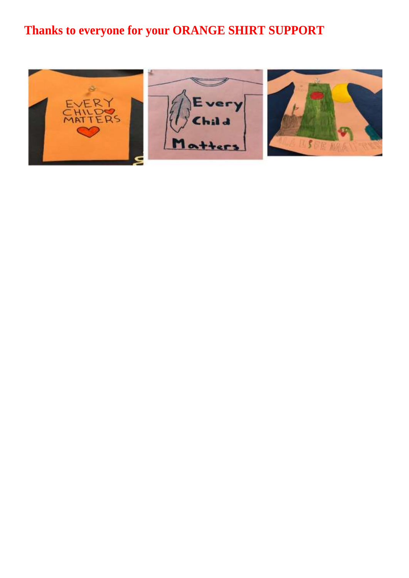## **Thanks to everyone for your ORANGE SHIRT SUPPORT**

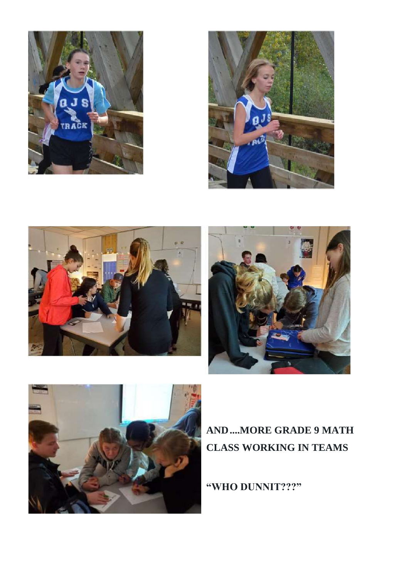









### **AND....MORE GRADE 9 MATH CLASS WORKING IN TEAMS**

**"WHO DUNNIT???"**